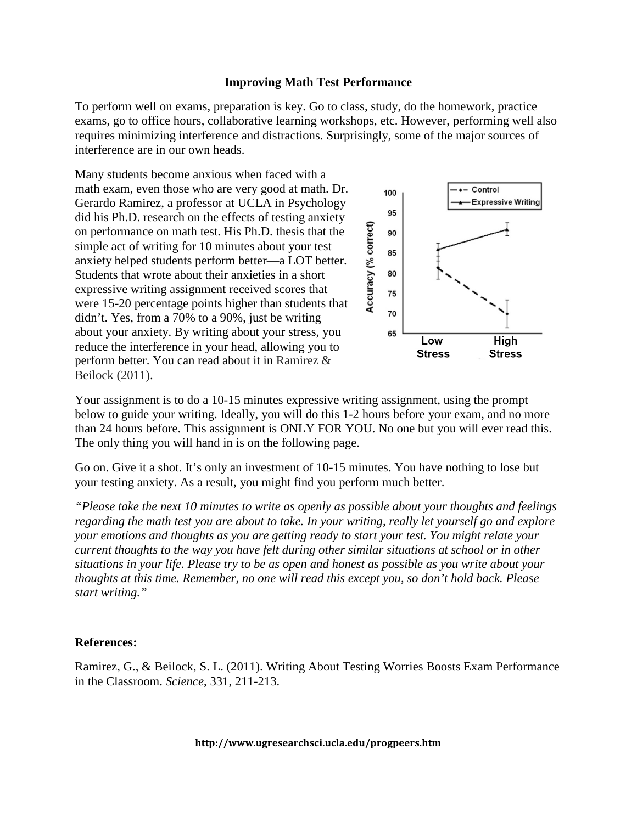## **Improving Math Test Performance**

To perform well on exams, preparation is key. Go to class, study, do the homework, practice exams, go to office hours, collaborative learning workshops, etc. However, performing well also requires minimizing interference and distractions. Surprisingly, some of the major sources of interference are in our own heads.

Many students become anxious when faced with a math exam, even those who are very good at math. Dr. Gerardo Ramirez, a professor at UCLA in Psychology did his Ph.D. research on the effects of testing anxiety on performance on math test. His Ph.D. thesis that the simple act of writing for 10 minutes about your test anxiety helped students perform better—a LOT better. Students that wrote about their anxieties in a short expressive writing assignment received scores that were 15-20 percentage points higher than students that didn't. Yes, from a 70% to a 90%, just be writing about your anxiety. By writing about your stress, you reduce the interference in your head, allowing you to perform better. You can read about it in Ramirez & Beilock (2011).



Your assignment is to do a 10-15 minutes expressive writing assignment, using the prompt below to guide your writing. Ideally, you will do this 1-2 hours before your exam, and no more than 24 hours before. This assignment is ONLY FOR YOU. No one but you will ever read this. The only thing you will hand in is on the following page.

Go on. Give it a shot. It's only an investment of 10-15 minutes. You have nothing to lose but your testing anxiety. As a result, you might find you perform much better.

*"Please take the next 10 minutes to write as openly as possible about your thoughts and feelings regarding the math test you are about to take. In your writing, really let yourself go and explore your emotions and thoughts as you are getting ready to start your test. You might relate your current thoughts to the way you have felt during other similar situations at school or in other situations in your life. Please try to be as open and honest as possible as you write about your thoughts at this time. Remember, no one will read this except you, so don't hold back. Please start writing."*

## **References:**

Ramirez, G., & Beilock, S. L. (2011). Writing About Testing Worries Boosts Exam Performance in the Classroom. *Science*, 331, 211-213.